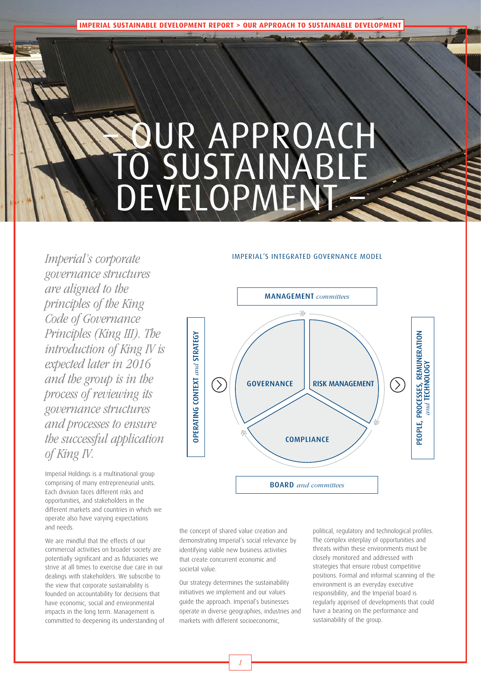**IMPERIAL SUSTAINABLE DEVELOPMENT REPORT > OUR APPROACH TO SUSTAINABLE DEVELOPMENT**

# – OUR APPROACH TO SUSTAINABLE DEVELOPMENT

Imperial's corporate governance structures are aligned to the principles of the King Code of Governance Principles (King III). The introduction of King IV is expected later in 2016 and the group is in the process of reviewing its governance structures and processes to ensure the successful application of King IV.

Imperial Holdings is a multinational group comprising of many entrepreneurial units. Each division faces different risks and opportunities, and stakeholders in the different markets and countries in which we operate also have varying expectations and needs.

We are mindful that the effects of our commercial activities on broader society are potentially significant and as fiduciaries we strive at all times to exercise due care in our dealings with stakeholders. We subscribe to the view that corporate sustainability is founded on accountability for decisions that have economic, social and environmental impacts in the long term. Management is committed to deepening its understanding of

#### IMPERIAL'S INTEGRATED GOVERNANCE MODEL



the concept of shared value creation and demonstrating Imperial's social relevance by identifying viable new business activities that create concurrent economic and societal value.

Our strategy determines the sustainability initiatives we implement and our values guide the approach. Imperial's businesses operate in diverse geographies, industries and markets with different socioeconomic,

political, regulatory and technological profiles. The complex interplay of opportunities and threats within these environments must be closely monitored and addressed with strategies that ensure robust competitive positions. Formal and informal scanning of the environment is an everyday executive responsibility, and the Imperial board is regularly apprised of developments that could have a bearing on the performance and sustainability of the group.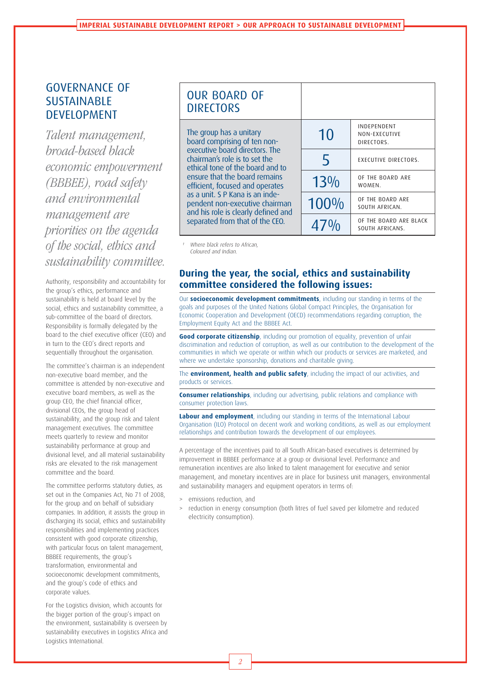# GOVERNANCE OF SUSTAINABLE DEVELOPMENT

Talent management, broad-based black economic empowerment (BBBEE), road safety and environmental management are priorities on the agenda of the social, ethics and sustainability committee.

Authority, responsibility and accountability for the group's ethics, performance and sustainability is held at board level by the social, ethics and sustainability committee, a sub-committee of the board of directors. Responsibility is formally delegated by the board to the chief executive officer (CEO) and in turn to the CEO's direct reports and sequentially throughout the organisation.

The committee's chairman is an independent non-executive board member, and the committee is attended by non-executive and executive board members, as well as the group CEO, the chief financial officer, divisional CEOs, the group head of sustainability, and the group risk and talent management executives. The committee meets quarterly to review and monitor sustainability performance at group and divisional level, and all material sustainability risks are elevated to the risk management committee and the board.

The committee performs statutory duties, as set out in the Companies Act, No 71 of 2008, for the group and on behalf of subsidiary companies. In addition, it assists the group in discharging its social, ethics and sustainability responsibilities and implementing practices consistent with good corporate citizenship, with particular focus on talent management, BBBEE requirements, the group's transformation, environmental and socioeconomic development commitments, and the group's code of ethics and corporate values.

For the Logistics division, which accounts for the bigger portion of the group's impact on the environment, sustainability is overseen by sustainability executives in Logistics Africa and Logistics International.

| <b>OUR BOARD OF</b><br><b>DIRECTORS</b>                                                                                                                                                                                                                                                                                                                                           |        |                                           |
|-----------------------------------------------------------------------------------------------------------------------------------------------------------------------------------------------------------------------------------------------------------------------------------------------------------------------------------------------------------------------------------|--------|-------------------------------------------|
| The group has a unitary<br>board comprising of ten non-<br>executive board directors. The<br>chairman's role is to set the<br>ethical tone of the board and to<br>ensure that the board remains<br>efficient, focused and operates<br>as a unit. S P Kana is an inde-<br>pendent non-executive chairman<br>and his role is clearly defined and<br>separated from that of the CEO. | 10     | INDEPENDENT<br>NON-EXECUTIVE              |
|                                                                                                                                                                                                                                                                                                                                                                                   | 5      | DIRECTORS.<br>EXECUTIVE DIRECTORS.        |
|                                                                                                                                                                                                                                                                                                                                                                                   | $13\%$ | OF THE BOARD ARE<br>WOMEN.                |
|                                                                                                                                                                                                                                                                                                                                                                                   | 100%   | OF THE BOARD ARE<br>SOUTH AFRICAN.        |
|                                                                                                                                                                                                                                                                                                                                                                                   |        | OF THE BOARD ARE BLACK<br>SOUTH AFRICANS. |

Where black refers to African, Coloured and Indian.

#### **During the year, the social, ethics and sustainability committee considered the following issues:**

Our **socioeconomic development commitments**, including our standing in terms of the goals and purposes of the United Nations Global Compact Principles, the Organisation for Economic Cooperation and Development (OECD) recommendations regarding corruption, the Employment Equity Act and the BBBEE Act.

**Good corporate citizenship**, including our promotion of equality, prevention of unfair discrimination and reduction of corruption, as well as our contribution to the development of the communities in which we operate or within which our products or services are marketed, and where we undertake sponsorship, donations and charitable giving.

The **environment, health and public safety**, including the impact of our activities, and products or services.

**Consumer relationships**, including our advertising, public relations and compliance with consumer protection laws.

**Labour and employment**, including our standing in terms of the International Labour Organisation (ILO) Protocol on decent work and working conditions, as well as our employment relationships and contribution towards the development of our employees.

A percentage of the incentives paid to all South African-based executives is determined by improvement in BBBEE performance at a group or divisional level. Performance and remuneration incentives are also linked to talent management for executive and senior management, and monetary incentives are in place for business unit managers, environmental and sustainability managers and equipment operators in terms of:

- > emissions reduction, and
- reduction in energy consumption (both litres of fuel saved per kilometre and reduced electricity consumption).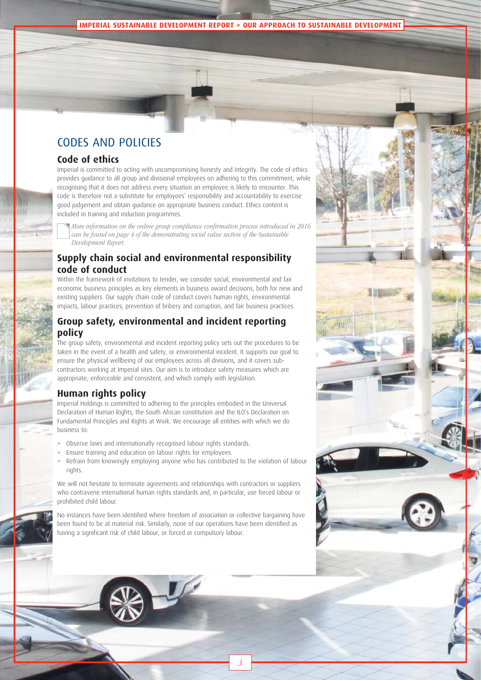#### **IMPERIAL SUSTAINABLE DEVELOPMENT REPORT > OUR APPROACH TO SUSTAINABLE DEVELOPMENT**

# CODES AND POLICIES

#### **Code of ethics**

Imperial is committed to acting with uncompromising honesty and integrity. The code of ethics provides guidance to all group and divisional employees on adhering to this commitment, while recognising that it does not address every situation an employee is likely to encounter. This code is therefore not a substitute for employees' responsibility and accountability to exercise good judgement and obtain guidance on appropriate business conduct. Ethics content is included in training and induction programmes.

More information on the online group compliance confirmation process introduced in 2016 can be found on page 4 of the demonstrating social value section of the Sustainable Development Report.

### **Supply chain social and environmental responsibility code of conduct**

Within the framework of invitations to tender, we consider social, environmental and fair economic business principles as key elements in business award decisions, both for new and existing suppliers. Our supply chain code of conduct covers human rights, environmental impacts, labour practices, prevention of bribery and corruption, and fair business practices.

#### **Group safety, environmental and incident reporting policy**

The group safety, environmental and incident reporting policy sets out the procedures to be taken in the event of a health and safety, or environmental incident. It supports our goal to ensure the physical wellbeing of our employees across all divisions, and it covers subcontractors working at Imperial sites. Our aim is to introduce safety measures which are appropriate, enforceable and consistent, and which comply with legislation.

#### **Human rights policy**

Imperial Holdings is committed to adhering to the principles embodied in the Universal Declaration of Human Rights, the South African constitution and the ILO's Declaration on Fundamental Principles and Rights at Work. We encourage all entities with which we do business to:

- Observe laws and internationally recognised labour rights standards.
- > Ensure training and education on labour rights for employees.
- Refrain from knowingly employing anyone who has contributed to the violation of labour rights.

We will not hesitate to terminate agreements and relationships with contractors or suppliers who contravene international human rights standards and, in particular, use forced labour or prohibited child labour.

No instances have been identified where freedom of association or collective bargaining have been found to be at material risk. Similarly, none of our operations have been identified as having a significant risk of child labour, or forced or compulsory labour.

3